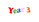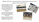### Before half term, we were busy conducting an experiment about rocks and erosion.

We poured water on some clay and wrapped it up, then left one in the freezer and one on the window sill. We have been looking at it over the week to see what happens.

So far we have noticed there are a lot of cracks appearing in the one that's been left in the freezer.

We then checked back again Friday afternoon to see if our predictions are right or not.

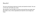## Results!

The one in the freezer had lots of cracks and started to break. The one on the side, had hardly any cracks.

We wanted to see the effect of erosion and saw that once water had got inside a rock, it then expanded and made the rock change and crack.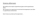# Science afternoon

We looked at the impact of greenhouse gases and the greenhouse effect.

We carried out an experiment to see how the temperature rose when in a greenhouse environment.

Here's how we carried out the experiment….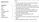### Experiment

### Equipment

2 jars

Soil

Water

2 thermometers

Clingfilm

Tape

Sunlight

Rubber bands

#### Method

- 1. Fill each jar with some soil so that the bottom is covered. Add 2-3 drops of water.
- 2. Place the thermometers in the jars so that they do not touch the soil. Use the sticky tape to hang the thermometer to the jars.
- 3. Cover the top of one jar with the clingfilm. Use the rubber band to hold the clingfilm in place.
- 4. Leave the second jar open.
- 5. Record the initial temperature of each thermometer.
- 6. Put both jars in the sun (or below a strong, warm light).
- 7. Record temperatures after 5, 10 and 15 mins.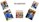

## *Our experiment*



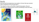### Results

We saw that the temperature rose quicker in the jar that was covered, when compared to the one that wasn't.

This helped to show us the effect of greenhouse gases, they are warming up our planet and we must do something to slow this down.